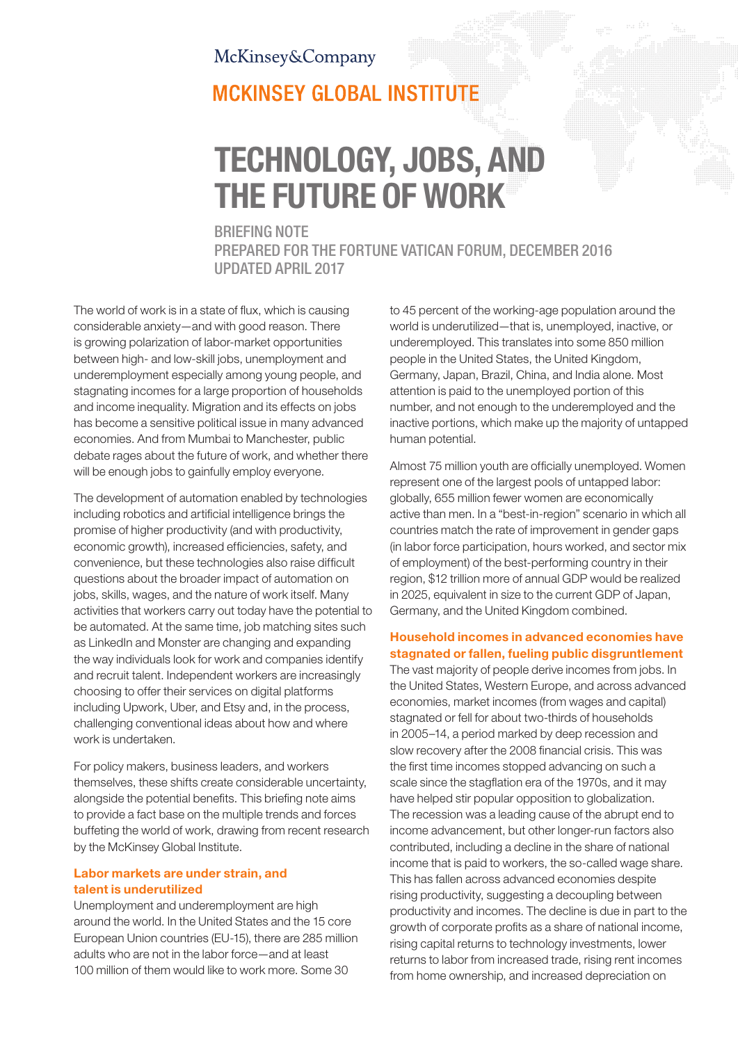### McKinsey&Company

## **MCKINSEY GLOBAL INSTITUTE**

# TECHNOLOGY, JOBS, AND THE FUTURE OF WORK

#### BRIEFING NOTE

PREPARED FOR THE FORTUNE VATICAN FORUM, DECEMBER 2016 UPDATED APRIL 2017

The world of work is in a state of flux, which is causing considerable anxiety—and with good reason. There is growing polarization of labor-market opportunities between high- and low-skill jobs, unemployment and underemployment especially among young people, and stagnating incomes for a large proportion of households and income inequality. Migration and its effects on jobs has become a sensitive political issue in many advanced economies. And from Mumbai to Manchester, public debate rages about the future of work, and whether there will be enough jobs to gainfully employ everyone.

The development of automation enabled by technologies including robotics and artificial intelligence brings the promise of higher productivity (and with productivity, economic growth), increased efficiencies, safety, and convenience, but these technologies also raise difficult questions about the broader impact of automation on jobs, skills, wages, and the nature of work itself. Many activities that workers carry out today have the potential to be automated. At the same time, job matching sites such as LinkedIn and Monster are changing and expanding the way individuals look for work and companies identify and recruit talent. Independent workers are increasingly choosing to offer their services on digital platforms including Upwork, Uber, and Etsy and, in the process, challenging conventional ideas about how and where work is undertaken.

For policy makers, business leaders, and workers themselves, these shifts create considerable uncertainty, alongside the potential benefits. This briefing note aims to provide a fact base on the multiple trends and forces buffeting the world of work, drawing from recent research by the McKinsey Global Institute.

#### Labor markets are under strain, and talent is underutilized

Unemployment and underemployment are high around the world. In the United States and the 15 core European Union countries (EU-15), there are 285 million adults who are not in the labor force—and at least 100 million of them would like to work more. Some 30

to 45 percent of the working-age population around the world is underutilized—that is, unemployed, inactive, or underemployed. This translates into some 850 million people in the United States, the United Kingdom, Germany, Japan, Brazil, China, and India alone. Most attention is paid to the unemployed portion of this number, and not enough to the underemployed and the inactive portions, which make up the majority of untapped human potential.

Almost 75 million youth are officially unemployed. Women represent one of the largest pools of untapped labor: globally, 655 million fewer women are economically active than men. In a "best-in-region" scenario in which all countries match the rate of improvement in gender gaps (in labor force participation, hours worked, and sector mix of employment) of the best-performing country in their region, \$12 trillion more of annual GDP would be realized in 2025, equivalent in size to the current GDP of Japan, Germany, and the United Kingdom combined.

#### Household incomes in advanced economies have stagnated or fallen, fueling public disgruntlement

The vast majority of people derive incomes from jobs. In the United States, Western Europe, and across advanced economies, market incomes (from wages and capital) stagnated or fell for about two-thirds of households in 2005–14, a period marked by deep recession and slow recovery after the 2008 financial crisis. This was the first time incomes stopped advancing on such a scale since the stagflation era of the 1970s, and it may have helped stir popular opposition to globalization. The recession was a leading cause of the abrupt end to income advancement, but other longer-run factors also contributed, including a decline in the share of national income that is paid to workers, the so-called wage share. This has fallen across advanced economies despite rising productivity, suggesting a decoupling between productivity and incomes. The decline is due in part to the growth of corporate profits as a share of national income, rising capital returns to technology investments, lower returns to labor from increased trade, rising rent incomes from home ownership, and increased depreciation on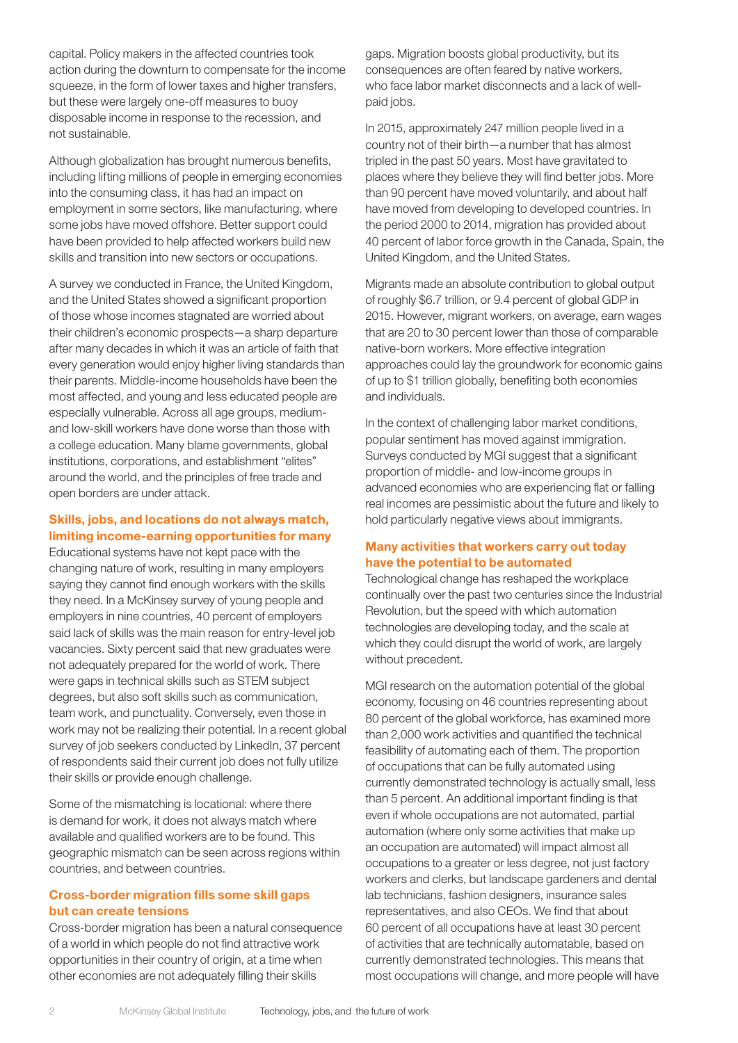capital. Policy makers in the affected countries took action during the downturn to compensate for the income squeeze, in the form of lower taxes and higher transfers, but these were largely one-off measures to buoy disposable income in response to the recession, and not sustainable.

Although globalization has brought numerous benefits, including lifting millions of people in emerging economies into the consuming class, it has had an impact on employment in some sectors, like manufacturing, where some jobs have moved offshore. Better support could have been provided to help affected workers build new skills and transition into new sectors or occupations.

A survey we conducted in France, the United Kingdom, and the United States showed a significant proportion of those whose incomes stagnated are worried about their children's economic prospects—a sharp departure after many decades in which it was an article of faith that every generation would enjoy higher living standards than their parents. Middle-income households have been the most affected, and young and less educated people are especially vulnerable. Across all age groups, mediumand low-skill workers have done worse than those with a college education. Many blame governments, global institutions, corporations, and establishment "elites" around the world, and the principles of free trade and open borders are under attack.

#### Skills, jobs, and locations do not always match, limiting income-earning opportunities for many

Educational systems have not kept pace with the changing nature of work, resulting in many employers saying they cannot find enough workers with the skills they need. In a McKinsey survey of young people and employers in nine countries, 40 percent of employers said lack of skills was the main reason for entry-level job vacancies. Sixty percent said that new graduates were not adequately prepared for the world of work. There were gaps in technical skills such as STEM subject degrees, but also soft skills such as communication, team work, and punctuality. Conversely, even those in work may not be realizing their potential. In a recent global survey of job seekers conducted by LinkedIn, 37 percent of respondents said their current job does not fully utilize their skills or provide enough challenge.

Some of the mismatching is locational: where there is demand for work, it does not always match where available and qualified workers are to be found. This geographic mismatch can be seen across regions within countries, and between countries.

#### Cross-border migration fills some skill gaps but can create tensions

Cross-border migration has been a natural consequence of a world in which people do not find attractive work opportunities in their country of origin, at a time when other economies are not adequately filling their skills

gaps. Migration boosts global productivity, but its consequences are often feared by native workers, who face labor market disconnects and a lack of wellpaid jobs.

In 2015, approximately 247 million people lived in a country not of their birth—a number that has almost tripled in the past 50 years. Most have gravitated to places where they believe they will find better jobs. More than 90 percent have moved voluntarily, and about half have moved from developing to developed countries. In the period 2000 to 2014, migration has provided about 40 percent of labor force growth in the Canada, Spain, the United Kingdom, and the United States.

Migrants made an absolute contribution to global output of roughly \$6.7 trillion, or 9.4 percent of global GDP in 2015. However, migrant workers, on average, earn wages that are 20 to 30 percent lower than those of comparable native-born workers. More effective integration approaches could lay the groundwork for economic gains of up to \$1 trillion globally, benefiting both economies and individuals.

In the context of challenging labor market conditions, popular sentiment has moved against immigration. Surveys conducted by MGI suggest that a significant proportion of middle- and low-income groups in advanced economies who are experiencing flat or falling real incomes are pessimistic about the future and likely to hold particularly negative views about immigrants.

#### Many activities that workers carry out today have the potential to be automated

Technological change has reshaped the workplace continually over the past two centuries since the Industrial Revolution, but the speed with which automation technologies are developing today, and the scale at which they could disrupt the world of work, are largely without precedent.

MGI research on the automation potential of the global economy, focusing on 46 countries representing about 80 percent of the global workforce, has examined more than 2,000 work activities and quantified the technical feasibility of automating each of them. The proportion of occupations that can be fully automated using currently demonstrated technology is actually small, less than 5 percent. An additional important finding is that even if whole occupations are not automated, partial automation (where only some activities that make up an occupation are automated) will impact almost all occupations to a greater or less degree, not just factory workers and clerks, but landscape gardeners and dental lab technicians, fashion designers, insurance sales representatives, and also CEOs. We find that about 60 percent of all occupations have at least 30 percent of activities that are technically automatable, based on currently demonstrated technologies. This means that most occupations will change, and more people will have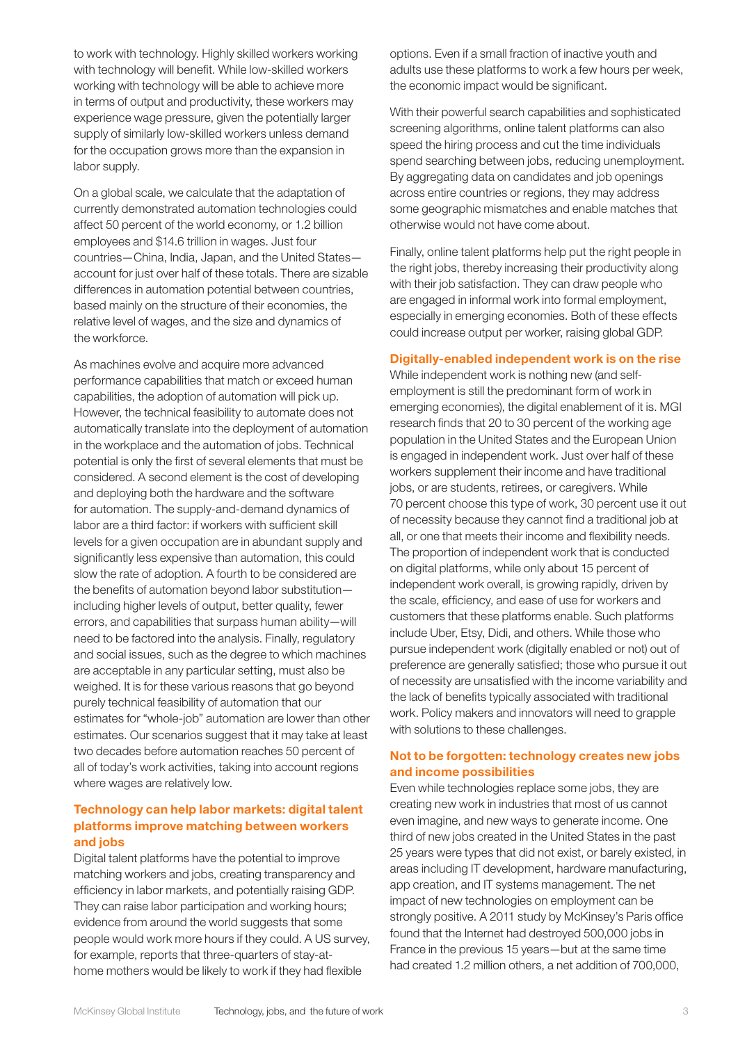to work with technology. Highly skilled workers working with technology will benefit. While low-skilled workers working with technology will be able to achieve more in terms of output and productivity, these workers may experience wage pressure, given the potentially larger supply of similarly low-skilled workers unless demand for the occupation grows more than the expansion in labor supply.

On a global scale, we calculate that the adaptation of currently demonstrated automation technologies could affect 50 percent of the world economy, or 1.2 billion employees and \$14.6 trillion in wages. Just four countries—China, India, Japan, and the United States account for just over half of these totals. There are sizable differences in automation potential between countries, based mainly on the structure of their economies, the relative level of wages, and the size and dynamics of the workforce.

As machines evolve and acquire more advanced performance capabilities that match or exceed human capabilities, the adoption of automation will pick up. However, the technical feasibility to automate does not automatically translate into the deployment of automation in the workplace and the automation of jobs. Technical potential is only the first of several elements that must be considered. A second element is the cost of developing and deploying both the hardware and the software for automation. The supply-and-demand dynamics of labor are a third factor: if workers with sufficient skill levels for a given occupation are in abundant supply and significantly less expensive than automation, this could slow the rate of adoption. A fourth to be considered are the benefits of automation beyond labor substitution including higher levels of output, better quality, fewer errors, and capabilities that surpass human ability—will need to be factored into the analysis. Finally, regulatory and social issues, such as the degree to which machines are acceptable in any particular setting, must also be weighed. It is for these various reasons that go beyond purely technical feasibility of automation that our estimates for "whole-job" automation are lower than other estimates. Our scenarios suggest that it may take at least two decades before automation reaches 50 percent of all of today's work activities, taking into account regions where wages are relatively low.

#### Technology can help labor markets: digital talent platforms improve matching between workers and jobs

Digital talent platforms have the potential to improve matching workers and jobs, creating transparency and efficiency in labor markets, and potentially raising GDP. They can raise labor participation and working hours; evidence from around the world suggests that some people would work more hours if they could. A US survey, for example, reports that three-quarters of stay-athome mothers would be likely to work if they had flexible

options. Even if a small fraction of inactive youth and adults use these platforms to work a few hours per week, the economic impact would be significant.

With their powerful search capabilities and sophisticated screening algorithms, online talent platforms can also speed the hiring process and cut the time individuals spend searching between jobs, reducing unemployment. By aggregating data on candidates and job openings across entire countries or regions, they may address some geographic mismatches and enable matches that otherwise would not have come about.

Finally, online talent platforms help put the right people in the right jobs, thereby increasing their productivity along with their job satisfaction. They can draw people who are engaged in informal work into formal employment, especially in emerging economies. Both of these effects could increase output per worker, raising global GDP.

#### Digitally-enabled independent work is on the rise

While independent work is nothing new (and selfemployment is still the predominant form of work in emerging economies), the digital enablement of it is. MGI research finds that 20 to 30 percent of the working age population in the United States and the European Union is engaged in independent work. Just over half of these workers supplement their income and have traditional jobs, or are students, retirees, or caregivers. While 70 percent choose this type of work, 30 percent use it out of necessity because they cannot find a traditional job at all, or one that meets their income and flexibility needs. The proportion of independent work that is conducted on digital platforms, while only about 15 percent of independent work overall, is growing rapidly, driven by the scale, efficiency, and ease of use for workers and customers that these platforms enable. Such platforms include Uber, Etsy, Didi, and others. While those who pursue independent work (digitally enabled or not) out of preference are generally satisfied; those who pursue it out of necessity are unsatisfied with the income variability and the lack of benefits typically associated with traditional work. Policy makers and innovators will need to grapple with solutions to these challenges.

#### Not to be forgotten: technology creates new jobs and income possibilities

Even while technologies replace some jobs, they are creating new work in industries that most of us cannot even imagine, and new ways to generate income. One third of new jobs created in the United States in the past 25 years were types that did not exist, or barely existed, in areas including IT development, hardware manufacturing, app creation, and IT systems management. The net impact of new technologies on employment can be strongly positive. A 2011 study by McKinsey's Paris office found that the Internet had destroyed 500,000 jobs in France in the previous 15 years—but at the same time had created 1.2 million others, a net addition of 700,000,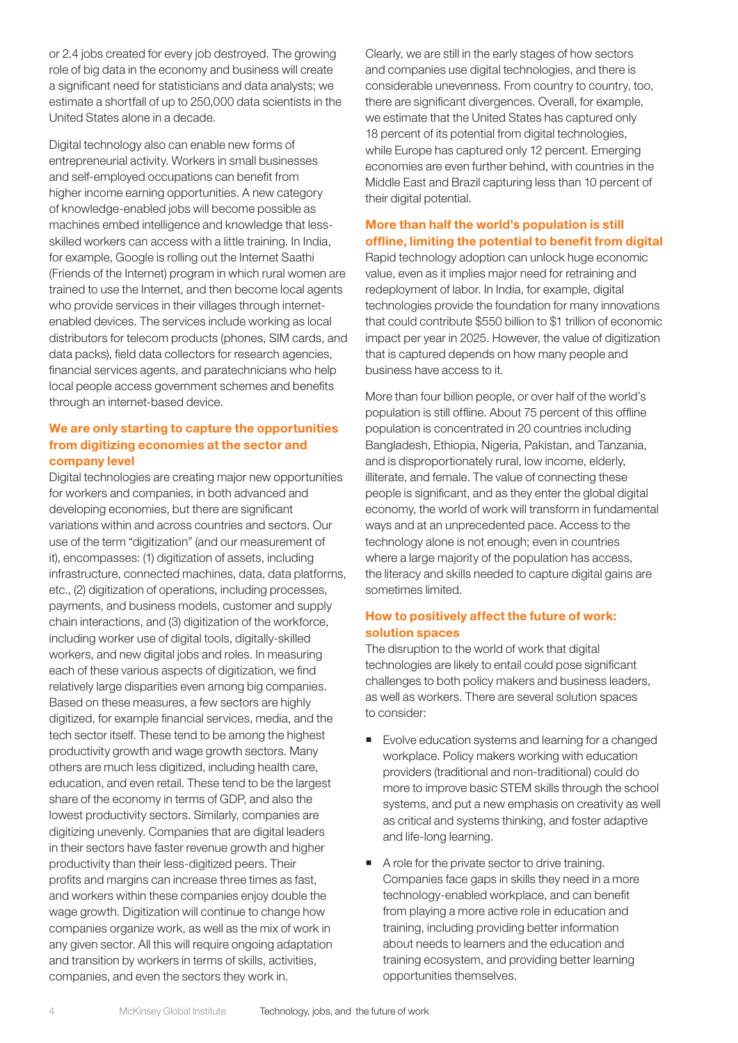or 2.4 jobs created for every job destroyed. The growing role of big data in the economy and business will create a significant need for statisticians and data analysts; we estimate a shortfall of up to 250,000 data scientists in the United States alone in a decade.

Digital technology also can enable new forms of entrepreneurial activity. Workers in small businesses and self-employed occupations can benefit from higher income earning opportunities. A new category of knowledge-enabled jobs will become possible as machines embed intelligence and knowledge that lessskilled workers can access with a little training. In India, for example, Google is rolling out the Internet Saathi (Friends of the Internet) program in which rural women are trained to use the Internet, and then become local agents who provide services in their villages through internetenabled devices. The services include working as local distributors for telecom products (phones, SIM cards, and data packs), field data collectors for research agencies, financial services agents, and paratechnicians who help local people access government schemes and benefits through an internet-based device.

#### We are only starting to capture the opportunities from digitizing economies at the sector and company level

Digital technologies are creating major new opportunities for workers and companies, in both advanced and developing economies, but there are significant variations within and across countries and sectors. Our use of the term "digitization" (and our measurement of it), encompasses: (1) digitization of assets, including infrastructure, connected machines, data, data platforms, etc., (2) digitization of operations, including processes, payments, and business models, customer and supply chain interactions, and (3) digitization of the workforce, including worker use of digital tools, digitally-skilled workers, and new digital jobs and roles. In measuring each of these various aspects of digitization, we find relatively large disparities even among big companies. Based on these measures, a few sectors are highly digitized, for example financial services, media, and the tech sector itself. These tend to be among the highest productivity growth and wage growth sectors. Many others are much less digitized, including health care, education, and even retail. These tend to be the largest share of the economy in terms of GDP, and also the lowest productivity sectors. Similarly, companies are digitizing unevenly. Companies that are digital leaders in their sectors have faster revenue growth and higher productivity than their less-digitized peers. Their profits and margins can increase three times as fast, and workers within these companies enjoy double the wage growth. Digitization will continue to change how companies organize work, as well as the mix of work in any given sector. All this will require ongoing adaptation and transition by workers in terms of skills, activities, companies, and even the sectors they work in.

Clearly, we are still in the early stages of how sectors and companies use digital technologies, and there is considerable unevenness. From country to country, too, there are significant divergences. Overall, for example, we estimate that the United States has captured only 18 percent of its potential from digital technologies, while Europe has captured only 12 percent. Emerging economies are even further behind, with countries in the Middle East and Brazil capturing less than 10 percent of their digital potential.

#### More than half the world's population is still offline, limiting the potential to benefit from digital

Rapid technology adoption can unlock huge economic value, even as it implies major need for retraining and redeployment of labor. In India, for example, digital technologies provide the foundation for many innovations that could contribute \$550 billion to \$1 trillion of economic impact per year in 2025. However, the value of digitization that is captured depends on how many people and business have access to it.

More than four billion people, or over half of the world's population is still offline. About 75 percent of this offline population is concentrated in 20 countries including Bangladesh, Ethiopia, Nigeria, Pakistan, and Tanzania, and is disproportionately rural, low income, elderly, illiterate, and female. The value of connecting these people is significant, and as they enter the global digital economy, the world of work will transform in fundamental ways and at an unprecedented pace. Access to the technology alone is not enough; even in countries where a large majority of the population has access, the literacy and skills needed to capture digital gains are sometimes limited.

#### How to positively affect the future of work: solution spaces

The disruption to the world of work that digital technologies are likely to entail could pose significant challenges to both policy makers and business leaders, as well as workers. There are several solution spaces to consider:

- Evolve education systems and learning for a changed workplace. Policy makers working with education providers (traditional and non-traditional) could do more to improve basic STEM skills through the school systems, and put a new emphasis on creativity as well as critical and systems thinking, and foster adaptive and life-long learning.
- A role for the private sector to drive training. Companies face gaps in skills they need in a more technology-enabled workplace, and can benefit from playing a more active role in education and training, including providing better information about needs to learners and the education and training ecosystem, and providing better learning opportunities themselves.